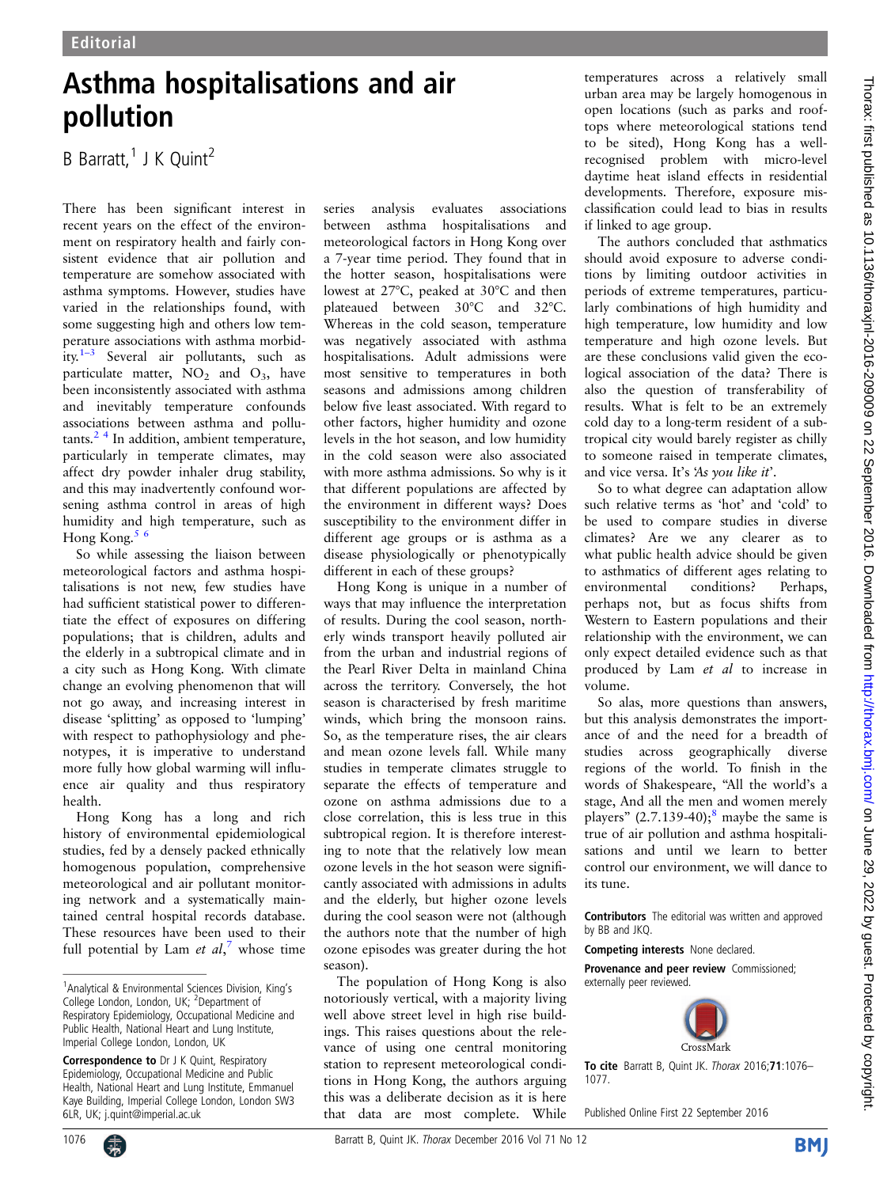## Asthma hospitalisations and air pollution

B Barratt, $1$  J K Quint<sup>2</sup>

There has been significant interest in recent years on the effect of the environment on respiratory health and fairly consistent evidence that air pollution and temperature are somehow associated with asthma symptoms. However, studies have varied in the relationships found, with some suggesting high and others low temperature associations with asthma morbidity.1–[3](#page-1-0) Several air pollutants, such as particulate matter,  $\text{NO}_2$  and  $\text{O}_3$ , have been inconsistently associated with asthma and inevitably temperature confounds associations between asthma and pollu $tants.<sup>2</sup>$ <sup>4</sup> In addition, ambient temperature, particularly in temperate climates, may affect dry powder inhaler drug stability, and this may inadvertently confound worsening asthma control in areas of high humidity and high temperature, such as Hong Kong.[5 6](#page-1-0)

So while assessing the liaison between meteorological factors and asthma hospitalisations is not new, few studies have had sufficient statistical power to differentiate the effect of exposures on differing populations; that is children, adults and the elderly in a subtropical climate and in a city such as Hong Kong. With climate change an evolving phenomenon that will not go away, and increasing interest in disease 'splitting' as opposed to 'lumping' with respect to pathophysiology and phenotypes, it is imperative to understand more fully how global warming will influence air quality and thus respiratory health.

Hong Kong has a long and rich history of environmental epidemiological studies, fed by a densely packed ethnically homogenous population, comprehensive meteorological and air pollutant monitoring network and a systematically maintained central hospital records database. These resources have been used to their full potential by Lam et  $al$ ,<sup>[7](#page-1-0)</sup> whose time series analysis evaluates associations between asthma hospitalisations and meteorological factors in Hong Kong over a 7-year time period. They found that in the hotter season, hospitalisations were lowest at 27°C, peaked at 30°C and then plateaued between 30°C and 32°C. Whereas in the cold season, temperature was negatively associated with asthma hospitalisations. Adult admissions were most sensitive to temperatures in both seasons and admissions among children below five least associated. With regard to other factors, higher humidity and ozone levels in the hot season, and low humidity in the cold season were also associated with more asthma admissions. So why is it that different populations are affected by the environment in different ways? Does susceptibility to the environment differ in different age groups or is asthma as a disease physiologically or phenotypically different in each of these groups?

Hong Kong is unique in a number of ways that may influence the interpretation of results. During the cool season, northerly winds transport heavily polluted air from the urban and industrial regions of the Pearl River Delta in mainland China across the territory. Conversely, the hot season is characterised by fresh maritime winds, which bring the monsoon rains. So, as the temperature rises, the air clears and mean ozone levels fall. While many studies in temperate climates struggle to separate the effects of temperature and ozone on asthma admissions due to a close correlation, this is less true in this subtropical region. It is therefore interesting to note that the relatively low mean ozone levels in the hot season were significantly associated with admissions in adults and the elderly, but higher ozone levels during the cool season were not (although the authors note that the number of high ozone episodes was greater during the hot season).

The population of Hong Kong is also notoriously vertical, with a majority living well above street level in high rise buildings. This raises questions about the relevance of using one central monitoring station to represent meteorological conditions in Hong Kong, the authors arguing this was a deliberate decision as it is here that data are most complete. While

temperatures across a relatively small urban area may be largely homogenous in open locations (such as parks and rooftops where meteorological stations tend to be sited), Hong Kong has a wellrecognised problem with micro-level daytime heat island effects in residential developments. Therefore, exposure misclassification could lead to bias in results if linked to age group.

The authors concluded that asthmatics should avoid exposure to adverse conditions by limiting outdoor activities in periods of extreme temperatures, particularly combinations of high humidity and high temperature, low humidity and low temperature and high ozone levels. But are these conclusions valid given the ecological association of the data? There is also the question of transferability of results. What is felt to be an extremely cold day to a long-term resident of a subtropical city would barely register as chilly to someone raised in temperate climates, and vice versa. It's 'As you like it'.

So to what degree can adaptation allow such relative terms as 'hot' and 'cold' to be used to compare studies in diverse climates? Are we any clearer as to what public health advice should be given to asthmatics of different ages relating to environmental conditions? Perhaps, perhaps not, but as focus shifts from Western to Eastern populations and their relationship with the environment, we can only expect detailed evidence such as that produced by Lam et al to increase in volume.

So alas, more questions than answers, but this analysis demonstrates the importance of and the need for a breadth of studies across geographically diverse regions of the world. To finish in the words of Shakespeare, "All the world's a stage, And all the men and women merely players"  $(2.7.139-40)$ ;<sup>[8](#page-1-0)</sup> maybe the same is true of air pollution and asthma hospitalisations and until we learn to better control our environment, we will dance to its tune.

Contributors The editorial was written and approved by BB and JKQ.

Competing interests None declared.

Provenance and peer review Commissioned; externally peer reviewed.



To cite Barratt B, Quint JK. Thorax 2016;71:1076– 1077.

Published Online First 22 September 2016

<sup>&</sup>lt;sup>1</sup> Analytical & Environmental Sciences Division, King's College London, London, UK; <sup>2</sup>Department of Respiratory Epidemiology, Occupational Medicine and Public Health, National Heart and Lung Institute, Imperial College London, London, UK

Correspondence to Dr J K Quint, Respiratory Epidemiology, Occupational Medicine and Public Health, National Heart and Lung Institute, Emmanuel Kaye Building, Imperial College London, London SW3 6LR, UK; j.quint@imperial.ac.uk